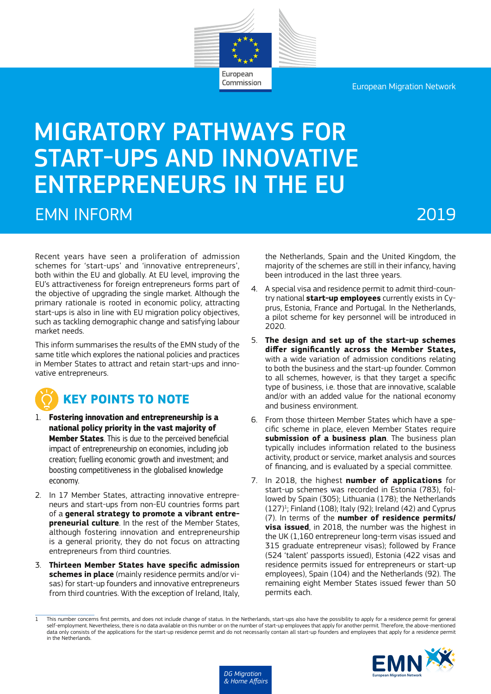European Migration Network

# MIGRATORY PATHWAYS FOR START-UPS AND INNOVATIVE ENTREPRENEURS IN THE EU EMN INFORM 2019

European Commission

Recent years have seen a proliferation of admission schemes for 'start-ups' and 'innovative entrepreneurs', both within the EU and globally. At EU level, improving the EU's attractiveness for foreign entrepreneurs forms part of the objective of upgrading the single market. Although the primary rationale is rooted in economic policy, attracting start-ups is also in line with EU migration policy objectives, such as tackling demographic change and satisfying labour market needs.

This inform summarises the results of the EMN study of the same title which explores the national policies and practices in Member States to attract and retain start-ups and innovative entrepreneurs.

### **KEY POINTS TO NOTE**

- 1. **Fostering innovation and entrepreneurship is a national policy priority in the vast majority of Member States**. This is due to the perceived beneficial impact of entrepreneurship on economies, including job creation; fuelling economic growth and investment; and boosting competitiveness in the globalised knowledge economy.
- 2. In 17 Member States, attracting innovative entrepreneurs and start-ups from non-EU countries forms part of a **general strategy to promote a vibrant entrepreneurial culture**. In the rest of the Member States, although fostering innovation and entrepreneurship is a general priority, they do not focus on attracting entrepreneurs from third countries.
- 3. **Thirteen Member States have specific admission schemes in place** (mainly residence permits and/or visas) for start-up founders and innovative entrepreneurs from third countries. With the exception of Ireland, Italy,

the Netherlands, Spain and the United Kingdom, the majority of the schemes are still in their infancy, having been introduced in the last three years.

- 4. A special visa and residence permit to admit third-country national **start-up employees** currently exists in Cyprus, Estonia, France and Portugal. In the Netherlands, a pilot scheme for key personnel will be introduced in 2020.
- 5. **The design and set up of the start-up schemes differ significantly across the Member States,** with a wide variation of admission conditions relating to both the business and the start-up founder. Common to all schemes, however, is that they target a specific type of business, i.e. those that are innovative, scalable and/or with an added value for the national economy and business environment.
- 6. From those thirteen Member States which have a specific scheme in place, eleven Member States require **submission of a business plan**. The business plan typically includes information related to the business activity, product or service, market analysis and sources of financing, and is evaluated by a special committee.
- 7. In 2018, the highest **number of applications** for start-up schemes was recorded in Estonia (783), followed by Spain (305); Lithuania (178); the Netherlands  $(127)^1$ ; Finland  $(108)$ ; Italy  $(92)$ ; Ireland  $(42)$  and Cyprus (7). In terms of the **number of residence permits/ visa issued**, in 2018, the number was the highest in the UK (1,160 entrepreneur long-term visas issued and 315 graduate entrepreneur visas); followed by France (524 'talent' passports issued), Estonia (422 visas and residence permits issued for entrepreneurs or start-up employees), Spain (104) and the Netherlands (92). The remaining eight Member States issued fewer than 50 permits each.

<sup>1</sup> This number concerns first permits, and does not include change of status. In the Netherlands, start-ups also have the possibility to apply for a residence permit for general self-employment. Nevertheless, there is no data available on this number or on the number of start-up employees that apply for another permit. Therefore, the above-mentioned data only consists of the applications for the start-up residence permit and do not necessarily contain all start-up founders and employees that apply for a residence permit in the Netherlands.

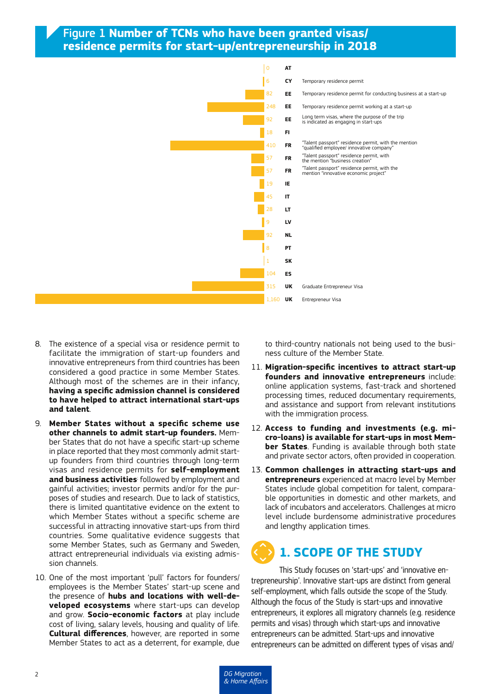#### Figure 1 **Number of TCNs who have been granted visas/ residence permits for start-up/entrepreneurship in 2018**



- 8. The existence of a special visa or residence permit to facilitate the immigration of start-up founders and innovative entrepreneurs from third countries has been considered a good practice in some Member States. Although most of the schemes are in their infancy, **having a specific admission channel is considered to have helped to attract international start-ups and talent**.
- 9. **Member States without a specific scheme use other channels to admit start-up founders.** Member States that do not have a specific start-up scheme in place reported that they most commonly admit startup founders from third countries through long-term visas and residence permits for **self-employment and business activities**; followed by employment and gainful activities; investor permits and/or for the purposes of studies and research. Due to lack of statistics, there is limited quantitative evidence on the extent to which Member States without a specific scheme are successful in attracting innovative start-ups from third countries. Some qualitative evidence suggests that some Member States, such as Germany and Sweden, attract entrepreneurial individuals via existing admission channels.
- 10. One of the most important 'pull' factors for founders/ employees is the Member States' start-up scene and the presence of **hubs and locations with well-developed ecosystems** where start-ups can develop and grow. **Socio-economic factors** at play include cost of living, salary levels, housing and quality of life. **Cultural differences**, however, are reported in some Member States to act as a deterrent, for example, due

to third-country nationals not being used to the business culture of the Member State.

- 11. **Migration-specific incentives to attract start-up founders and innovative entrepreneurs** include: online application systems, fast-track and shortened processing times, reduced documentary requirements, and assistance and support from relevant institutions with the immigration process.
- 12. **Access to funding and investments (e.g. micro-loans) is available for start-ups in most Member States**. Funding is available through both state and private sector actors, often provided in cooperation.
- 13. **Common challenges in attracting start-ups and entrepreneurs** experienced at macro level by Member States include global competition for talent, comparable opportunities in domestic and other markets, and lack of incubators and accelerators. Challenges at micro level include burdensome administrative procedures and lengthy application times.

## **1. SCOPE OF THE STUDY**

This Study focuses on 'start-ups' and 'innovative entrepreneurship'. Innovative start-ups are distinct from general self-employment, which falls outside the scope of the Study. Although the focus of the Study is start-ups and innovative entrepreneurs, it explores all migratory channels (e.g. residence permits and visas) through which start-ups and innovative entrepreneurs can be admitted. Start-ups and innovative entrepreneurs can be admitted on different types of visas and/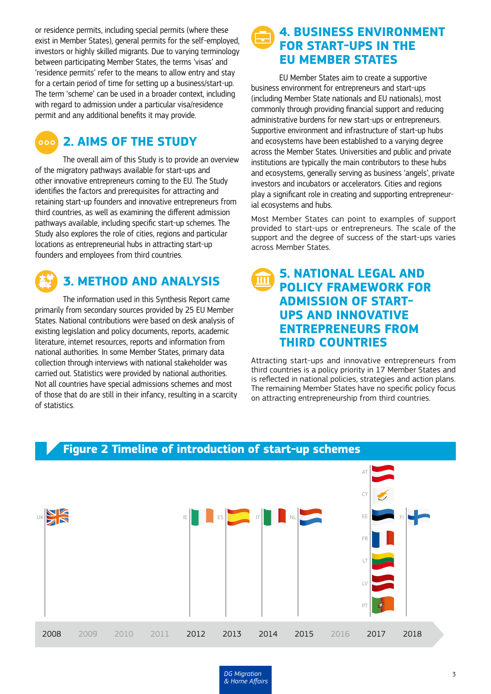or residence permits, including special permits (where these exist in Member States), general permits for the self-employed, investors or highly skilled migrants. Due to varying terminology between participating Member States, the terms 'visas' and 'residence permits' refer to the means to allow entry and stay for a certain period of time for setting up a business/start-up. The term 'scheme' can be used in a broader context, including with regard to admission under a particular visa/residence permit and any additional benefits it may provide.

#### **2. AIMS OF THE STUDY**  $\sim$  000  $\sim$

The overall aim of this Study is to provide an overview of the migratory pathways available for start-ups and other innovative entrepreneurs coming to the EU. The Study identifies the factors and prerequisites for attracting and retaining start-up founders and innovative entrepreneurs from third countries, as well as examining the different admission pathways available, including specific start-up schemes. The Study also explores the role of cities, regions and particular locations as entrepreneurial hubs in attracting start-up founders and employees from third countries.



#### **3. METHOD AND ANALYSIS**

The information used in this Synthesis Report came primarily from secondary sources provided by 25 EU Member States. National contributions were based on desk analysis of existing legislation and policy documents, reports, academic literature, internet resources, reports and information from national authorities. In some Member States, primary data collection through interviews with national stakeholder was carried out. Statistics were provided by national authorities. Not all countries have special admissions schemes and most of those that do are still in their infancy, resulting in a scarcity of statistics.

#### **4. BUSINESS ENVIRONMENT FOR START-UPS IN THE EU MEMBER STATES**

EU Member States aim to create a supportive business environment for entrepreneurs and start-ups (including Member State nationals and EU nationals), most commonly through providing financial support and reducing administrative burdens for new start-ups or entrepreneurs. Supportive environment and infrastructure of start-up hubs and ecosystems have been established to a varying degree across the Member States. Universities and public and private institutions are typically the main contributors to these hubs and ecosystems, generally serving as business 'angels', private investors and incubators or accelerators. Cities and regions play a significant role in creating and supporting entrepreneurial ecosystems and hubs.

Most Member States can point to examples of support provided to start-ups or entrepreneurs. The scale of the support and the degree of success of the start-ups varies across Member States.

#### **5. NATIONAL LEGAL AND POLICY FRAMEWORK FOR ADMISSION OF START-UPS AND INNOVATIVE ENTREPRENEURS FROM THIRD COUNTRIES**

Attracting start-ups and innovative entrepreneurs from third countries is a policy priority in 17 Member States and is reflected in national policies, strategies and action plans. The remaining Member States have no specific policy focus on attracting entrepreneurship from third countries.



#### **Figure 2 Timeline of introduction of start-up schemes**

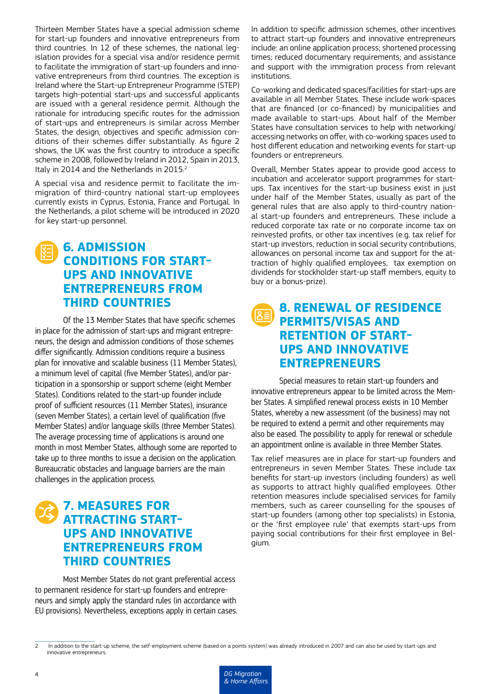Thirteen Member States have a special admission scheme for start-up founders and innovative entrepreneurs from third countries. In 12 of these schemes, the national legislation provides for a special visa and/or residence permit to facilitate the immigration of start-up founders and innovative entrepreneurs from third countries. The exception is Ireland where the Start-up Entrepreneur Programme (STEP) targets high-potential start-ups and successful applicants are issued with a general residence permit. Although the rationale for introducing specific routes for the admission of start-ups and entrepreneurs is similar across Member States, the design, objectives and specific admission conditions of their schemes differ substantially. As figure 2 shows, the UK was the first country to introduce a specific scheme in 2008, followed by Ireland in 2012, Spain in 2013, Italy in 2014 and the Netherlands in 2015.<sup>2</sup>

A special visa and residence permit to facilitate the immigration of third-country national start-up employees currently exists in Cyprus, Estonia, France and Portugal. In the Netherlands, a pilot scheme will be introduced in 2020 for key start-up personnel.

#### **6. ADMISSION CONDITIONS FOR START-UPS AND INNOVATIVE ENTREPRENEURS FROM THIRD COUNTRIES**

Of the 13 Member States that have specific schemes in place for the admission of start-ups and migrant entrepreneurs, the design and admission conditions of those schemes differ significantly. Admission conditions require a business plan for innovative and scalable business (11 Member States), a minimum level of capital (five Member States), and/or participation in a sponsorship or support scheme (eight Member States). Conditions related to the start-up founder include proof of sufficient resources (11 Member States), insurance (seven Member States), a certain level of qualification (five Member States) and/or language skills (three Member States). The average processing time of applications is around one month in most Member States, although some are reported to take up to three months to issue a decision on the application. Bureaucratic obstacles and language barriers are the main challenges in the application process.

### **7. MEASURES FOR ATTRACTING START-UPS AND INNOVATIVE ENTREPRENEURS FROM THIRD COUNTRIES**

Most Member States do not grant preferential access to permanent residence for start-up founders and entrepreneurs and simply apply the standard rules (in accordance with EU provisions). Nevertheless, exceptions apply in certain cases. In addition to specific admission schemes, other incentives to attract start-up founders and innovative entrepreneurs include: an online application process; shortened processing times; reduced documentary requirements; and assistance and support with the immigration process from relevant institutions.

Co-working and dedicated spaces/facilities for start-ups are available in all Member States. These include work-spaces that are financed (or co-financed) by municipalities and made available to start-ups. About half of the Member States have consultation services to help with networking/ accessing networks on offer, with co-working spaces used to host different education and networking events for start-up founders or entrepreneurs.

Overall, Member States appear to provide good access to incubation and accelerator support programmes for startups. Tax incentives for the start-up business exist in just under half of the Member States, usually as part of the general rules that are also apply to third-country national start-up founders and entrepreneurs. These include a reduced corporate tax rate or no corporate income tax on reinvested profits, or other tax incentives (e.g. tax relief for start-up investors, reduction in social security contributions, allowances on personal income tax and support for the attraction of highly qualified employees, tax exemption on dividends for stockholder start-up staff members, equity to buy or a bonus-prize).

#### **8. RENEWAL OF RESIDENCE PERMITS/VISAS AND RETENTION OF START-UPS AND INNOVATIVE ENTREPRENEURS**

Special measures to retain start-up founders and innovative entrepreneurs appear to be limited across the Member States. A simplified renewal process exists in 10 Member States, whereby a new assessment (of the business) may not be required to extend a permit and other requirements may also be eased. The possibility to apply for renewal or schedule an appointment online is available in three Member States.

Tax relief measures are in place for start-up founders and entrepreneurs in seven Member States. These include tax benefits for start-up investors (including founders) as well as supports to attract highly qualified employees. Other retention measures include specialised services for family members, such as career counselling for the spouses of start-up founders (among other top specialists) in Estonia, or the 'first employee rule' that exempts start-ups from paying social contributions for their first employee in Belgium.

In addition to the start-up scheme, the self-employment scheme (based on a points system) was already introduced in 2007 and can also be used by start-ups and innovative entrepreneurs.

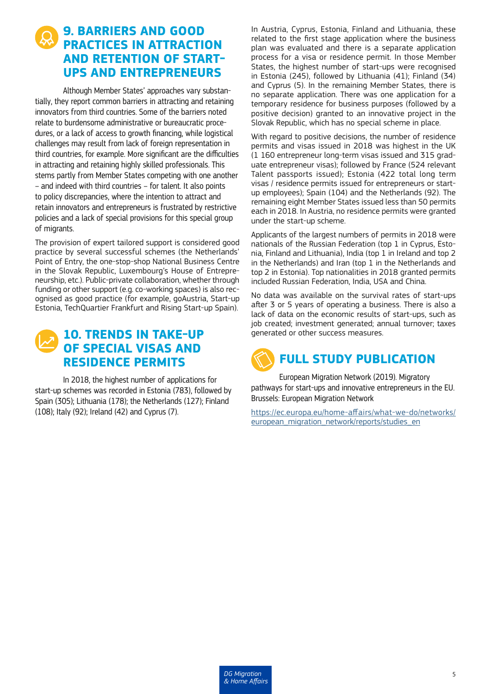### **9. BARRIERS AND GOOD PRACTICES IN ATTRACTION AND RETENTION OF START-UPS AND ENTREPRENEURS**

Although Member States' approaches vary substantially, they report common barriers in attracting and retaining innovators from third countries. Some of the barriers noted relate to burdensome administrative or bureaucratic procedures, or a lack of access to growth financing, while logistical challenges may result from lack of foreign representation in third countries, for example. More significant are the difficulties in attracting and retaining highly skilled professionals. This stems partly from Member States competing with one another – and indeed with third countries – for talent. It also points to policy discrepancies, where the intention to attract and retain innovators and entrepreneurs is frustrated by restrictive policies and a lack of special provisions for this special group of migrants.

The provision of expert tailored support is considered good practice by several successful schemes (the Netherlands' Point of Entry, the one-stop-shop National Business Centre in the Slovak Republic, Luxembourg's House of Entrepreneurship, etc.). Public-private collaboration, whether through funding or other support (e.g. co-working spaces) is also recognised as good practice (for example, goAustria, Start-up Estonia, [TechQuartier Frankfurt](https://techquartier.com/) and Rising Start-up Spain).

#### **10. TRENDS IN TAKE-UP OF SPECIAL VISAS AND RESIDENCE PERMITS**

In 2018, the highest number of applications for start-up schemes was recorded in Estonia (783), followed by Spain (305); Lithuania (178); the Netherlands (127); Finland (108); Italy (92); Ireland (42) and Cyprus (7).

In Austria, Cyprus, Estonia, Finland and Lithuania, these related to the first stage application where the business plan was evaluated and there is a separate application process for a visa or residence permit. In those Member States, the highest number of start-ups were recognised in Estonia (245), followed by Lithuania (41); Finland (34) and Cyprus (5). In the remaining Member States, there is no separate application. There was one application for a temporary residence for business purposes (followed by a positive decision) granted to an innovative project in the Slovak Republic, which has no special scheme in place.

With regard to positive decisions, the number of residence permits and visas issued in 2018 was highest in the UK (1 160 entrepreneur long-term visas issued and 315 graduate entrepreneur visas); followed by France (524 relevant Talent passports issued); Estonia (422 total long term visas / residence permits issued for entrepreneurs or startup employees); Spain (104) and the Netherlands (92). The remaining eight Member States issued less than 50 permits each in 2018. In Austria, no residence permits were granted under the start-up scheme.

Applicants of the largest numbers of permits in 2018 were nationals of the Russian Federation (top 1 in Cyprus, Estonia, Finland and Lithuania), India (top 1 in Ireland and top 2 in the Netherlands) and Iran (top 1 in the Netherlands and top 2 in Estonia). Top nationalities in 2018 granted permits included Russian Federation, India, USA and China.

No data was available on the survival rates of start-ups after 3 or 5 years of operating a business. There is also a lack of data on the economic results of start-ups, such as job created; investment generated; annual turnover; taxes generated or other success measures.



European Migration Network (2019). Migratory pathways for start-ups and innovative entrepreneurs in the EU. Brussels: European Migration Network

https://ec.europa.eu/home-affairs/what-we-do/networks/ european migration network/reports/studies en